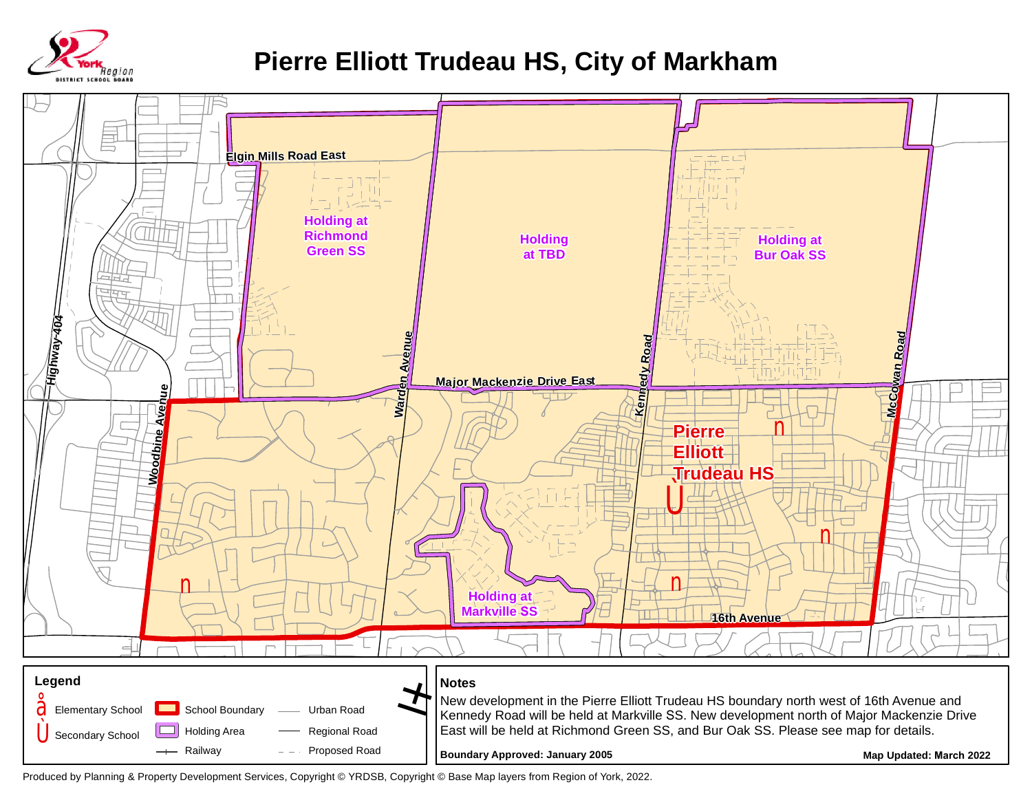

## **Pierre Elliott Trudeau HS, City of Markham**



Produced by Planning & Property Development Services, Copyright © YRDSB, Copyright © Base Map layers from Region of York, 2022.